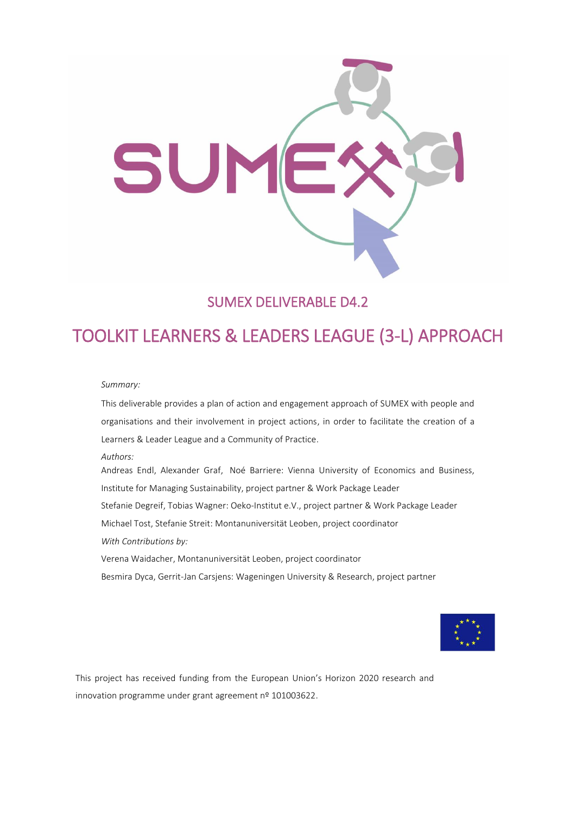

## SUMEX DELIVERABLE D4.2

# TOOLKIT LEARNERS & LEADERS LEAGUE (3-L) APPROACH

#### *Summary:*

This deliverable provides a plan of action and engagement approach of SUMEX with people and organisations and their involvement in project actions, in order to facilitate the creation of a Learners & Leader League and a Community of Practice.

*Authors:*

Andreas Endl, Alexander Graf, Noé Barriere: Vienna University of Economics and Business, Institute for Managing Sustainability, project partner & Work Package Leader Stefanie Degreif, Tobias Wagner: Oeko-Institut e.V., project partner & Work Package Leader Michael Tost, Stefanie Streit: Montanuniversität Leoben, project coordinator *With Contributions by:* Verena Waidacher, Montanuniversität Leoben, project coordinator Besmira Dyca, Gerrit-Jan Carsjens: Wageningen University & Research, project partner



This project has received funding from the European Union's Horizon 2020 research and innovation programme under grant agreement nº 101003622.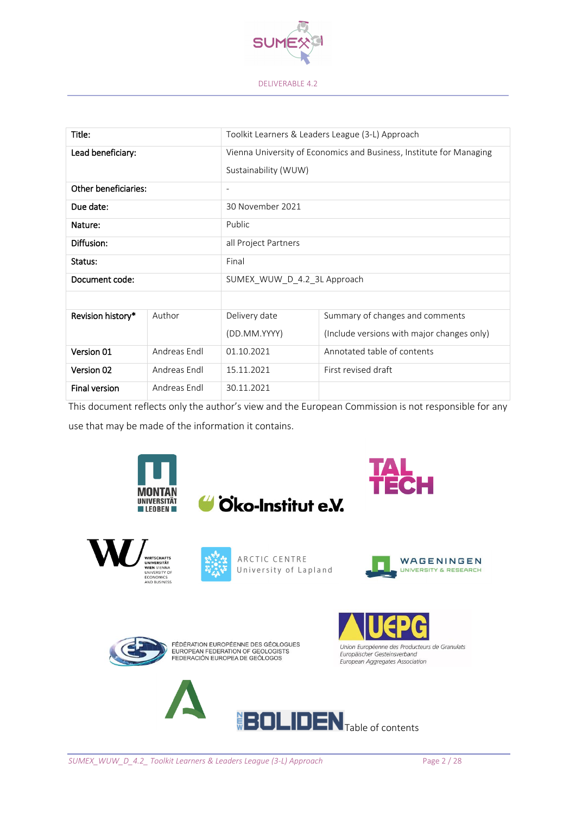

| Title:               |              | Toolkit Learners & Leaders League (3-L) Approach                                            |                                            |
|----------------------|--------------|---------------------------------------------------------------------------------------------|--------------------------------------------|
| Lead beneficiary:    |              | Vienna University of Economics and Business, Institute for Managing<br>Sustainability (WUW) |                                            |
| Other beneficiaries: |              | $\overline{\phantom{a}}$                                                                    |                                            |
| Due date:            |              | 30 November 2021                                                                            |                                            |
| Nature:              |              | Public                                                                                      |                                            |
| Diffusion:           |              | all Project Partners                                                                        |                                            |
| Status:              |              | Final                                                                                       |                                            |
| Document code:       |              | SUMEX WUW D 4.2 3L Approach                                                                 |                                            |
|                      |              |                                                                                             |                                            |
| Revision history*    | Author       | Delivery date                                                                               | Summary of changes and comments            |
|                      |              | (DD.MM.YYYY)                                                                                | (Include versions with major changes only) |
| Version 01           | Andreas Endl | 01.10.2021                                                                                  | Annotated table of contents                |
| Version 02           | Andreas Fndl | 15.11.2021                                                                                  | First revised draft                        |
| <b>Final version</b> | Andreas Endl | 30.11.2021                                                                                  |                                            |

This document reflects only the author's view and the European Commission is not responsible for any use that may be made of the information it contains.









ARCTIC CENTRE University of Lapland





FÉDÉRATION EUROPÉENNE DES GÉOLOGUES<br>EUROPEAN FEDERATION OF GEOLOGISTS<br>FEDERACIÓN EUROPEA DE GEÓLOGOS





 $\text{BOLIDEN}_{\text{Table of contents}}$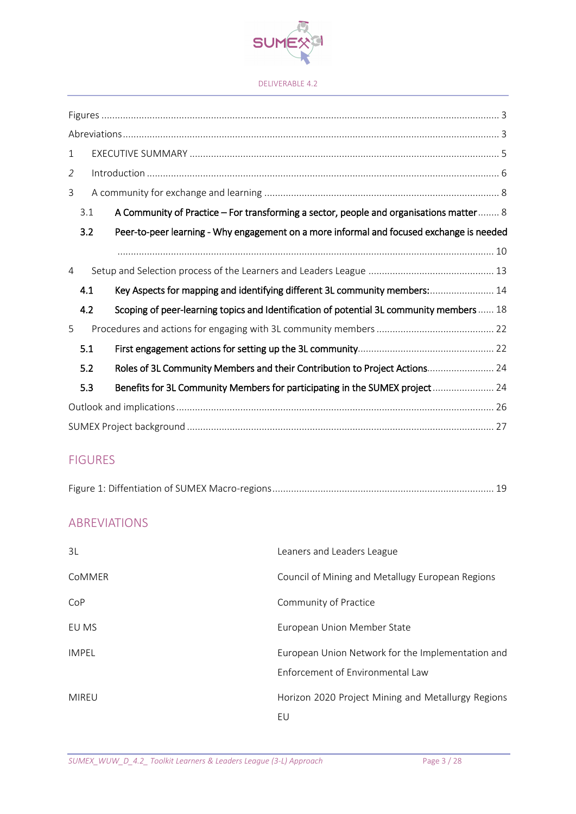

## FIGURES

|--|

## ABREVIATIONS

| 3L           | Leaners and Leaders League                         |
|--------------|----------------------------------------------------|
| CoMMER       | Council of Mining and Metallugy European Regions   |
| CoP          | Community of Practice                              |
| EU MS        | European Union Member State                        |
| <b>IMPEL</b> | European Union Network for the Implementation and  |
|              | Enforcement of Environmental Law                   |
| MIREU        | Horizon 2020 Project Mining and Metallurgy Regions |
|              | EU                                                 |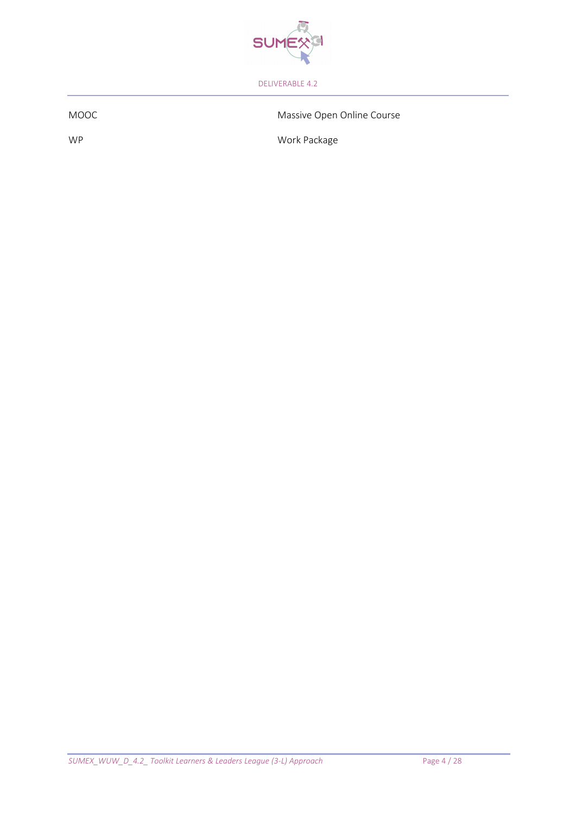

MOOC Massive Open Online Course

WP Work Package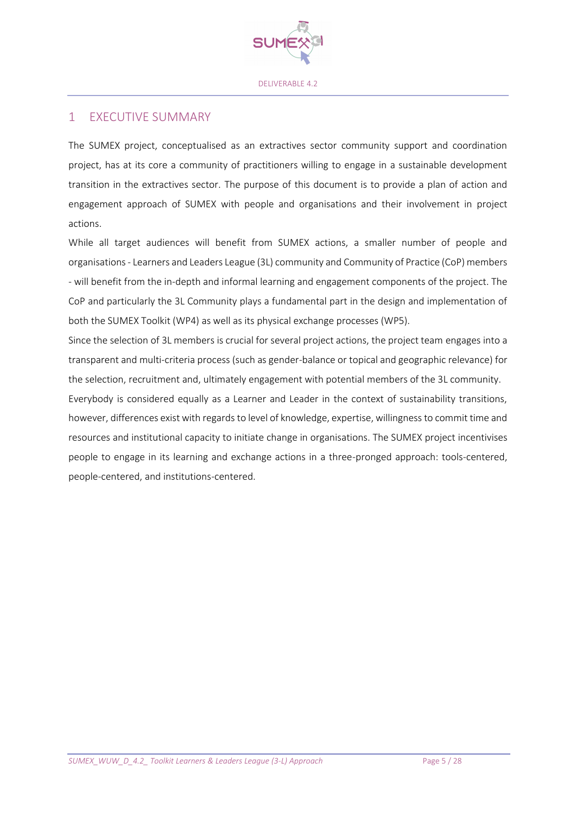

### 1 EXECUTIVE SUMMARY

The SUMEX project, conceptualised as an extractives sector community support and coordination project, has at its core a community of practitioners willing to engage in a sustainable development transition in the extractives sector. The purpose of this document is to provide a plan of action and engagement approach of SUMEX with people and organisations and their involvement in project actions.

While all target audiences will benefit from SUMEX actions, a smaller number of people and organisations - Learners and Leaders League (3L) community and Community of Practice (CoP) members - will benefit from the in-depth and informal learning and engagement components of the project. The CoP and particularly the 3L Community plays a fundamental part in the design and implementation of both the SUMEX Toolkit (WP4) as well as its physical exchange processes (WP5).

Since the selection of 3L members is crucial for several project actions, the project team engages into a transparent and multi-criteria process (such as gender-balance or topical and geographic relevance) for the selection, recruitment and, ultimately engagement with potential members of the 3L community.

Everybody is considered equally as a Learner and Leader in the context of sustainability transitions, however, differences exist with regards to level of knowledge, expertise, willingness to commit time and resources and institutional capacity to initiate change in organisations. The SUMEX project incentivises people to engage in its learning and exchange actions in a three-pronged approach: tools-centered, people-centered, and institutions-centered.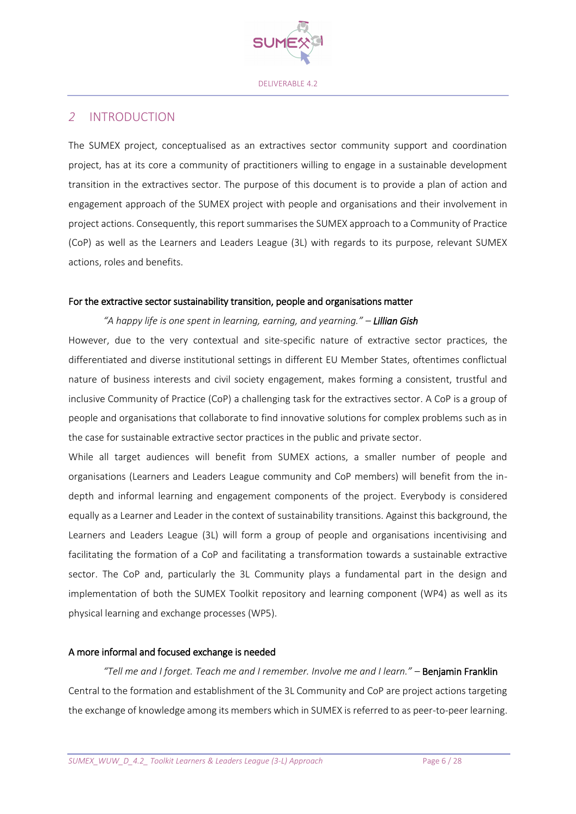

### *2* INTRODUCTION

The SUMEX project, conceptualised as an extractives sector community support and coordination project, has at its core a community of practitioners willing to engage in a sustainable development transition in the extractives sector. The purpose of this document is to provide a plan of action and engagement approach of the SUMEX project with people and organisations and their involvement in project actions. Consequently, this report summarises the SUMEX approach to a Community of Practice (CoP) as well as the Learners and Leaders League (3L) with regards to its purpose, relevant SUMEX actions, roles and benefits.

#### For the extractive sector sustainability transition, people and organisations matter

*"A happy life is one spent in learning, earning, and yearning." – Lillian Gish* However, due to the very contextual and site-specific nature of extractive sector practices, the differentiated and diverse institutional settings in different EU Member States, oftentimes conflictual nature of business interests and civil society engagement, makes forming a consistent, trustful and inclusive Community of Practice (CoP) a challenging task for the extractives sector. A CoP is a group of people and organisations that collaborate to find innovative solutions for complex problems such as in the case for sustainable extractive sector practices in the public and private sector.

While all target audiences will benefit from SUMEX actions, a smaller number of people and organisations (Learners and Leaders League community and CoP members) will benefit from the indepth and informal learning and engagement components of the project. Everybody is considered equally as a Learner and Leader in the context of sustainability transitions. Against this background, the Learners and Leaders League (3L) will form a group of people and organisations incentivising and facilitating the formation of a CoP and facilitating a transformation towards a sustainable extractive sector. The CoP and, particularly the 3L Community plays a fundamental part in the design and implementation of both the SUMEX Toolkit repository and learning component (WP4) as well as its physical learning and exchange processes (WP5).

### A more informal and focused exchange is needed

*"Tell me and I forget. Teach me and I remember. Involve me and I learn." –* [Benjamin Franklin](https://everydaypower.com/benjamin-franklin-quotes/) Central to the formation and establishment of the 3L Community and CoP are project actions targeting the exchange of knowledge among its members which in SUMEX is referred to as peer-to-peer learning.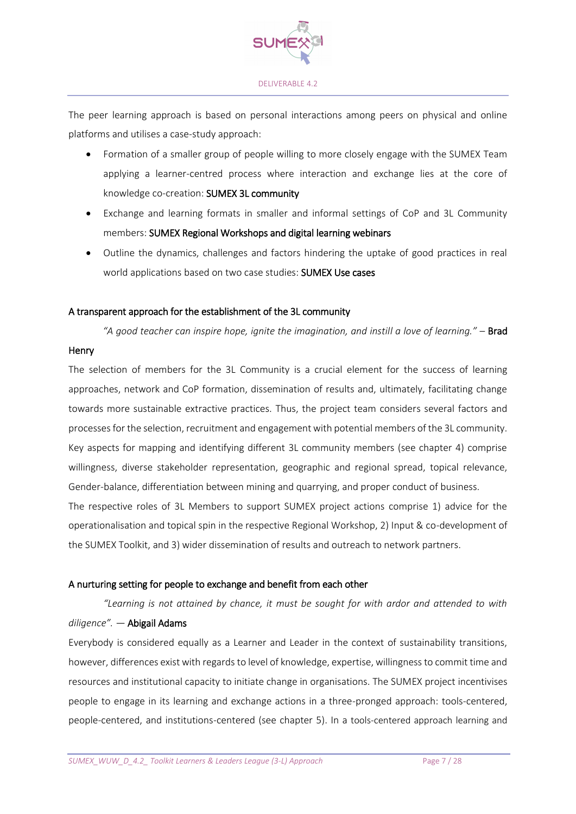

The peer learning approach is based on personal interactions among peers on physical and online platforms and utilises a case-study approach:

- Formation of a smaller group of people willing to more closely engage with the SUMEX Team applying a learner-centred process where interaction and exchange lies at the core of knowledge co-creation: SUMEX 3L community
- Exchange and learning formats in smaller and informal settings of CoP and 3L Community members: SUMEX Regional Workshops and digital learning webinars
- Outline the dynamics, challenges and factors hindering the uptake of good practices in real world applications based on two case studies: SUMEX Use cases

### A transparent approach for the establishment of the 3L community

*"A good teacher can inspire hope, ignite the imagination, and instill a love of learning."* – Brad

#### **Henry**

The selection of members for the 3L Community is a crucial element for the success of learning approaches, network and CoP formation, dissemination of results and, ultimately, facilitating change towards more sustainable extractive practices. Thus, the project team considers several factors and processes for the selection, recruitment and engagement with potential members of the 3L community. Key aspects for mapping and identifying different 3L community members (see chapter 4) comprise willingness, diverse stakeholder representation, geographic and regional spread, topical relevance, Gender-balance, differentiation between mining and quarrying, and proper conduct of business.

The respective roles of 3L Members to support SUMEX project actions comprise 1) advice for the operationalisation and topical spin in the respective Regional Workshop, 2) Input & co-development of the SUMEX Toolkit, and 3) wider dissemination of results and outreach to network partners.

### A nurturing setting for people to exchange and benefit from each other

*"Learning is not attained by chance, it must be sought for with ardor and attended to with* 

### *diligence". ―* Abigail Adams

Everybody is considered equally as a Learner and Leader in the context of sustainability transitions, however, differences exist with regards to level of knowledge, expertise, willingness to commit time and resources and institutional capacity to initiate change in organisations. The SUMEX project incentivises people to engage in its learning and exchange actions in a three-pronged approach: tools-centered, people-centered, and institutions-centered (see chapter 5). In a tools-centered approach learning and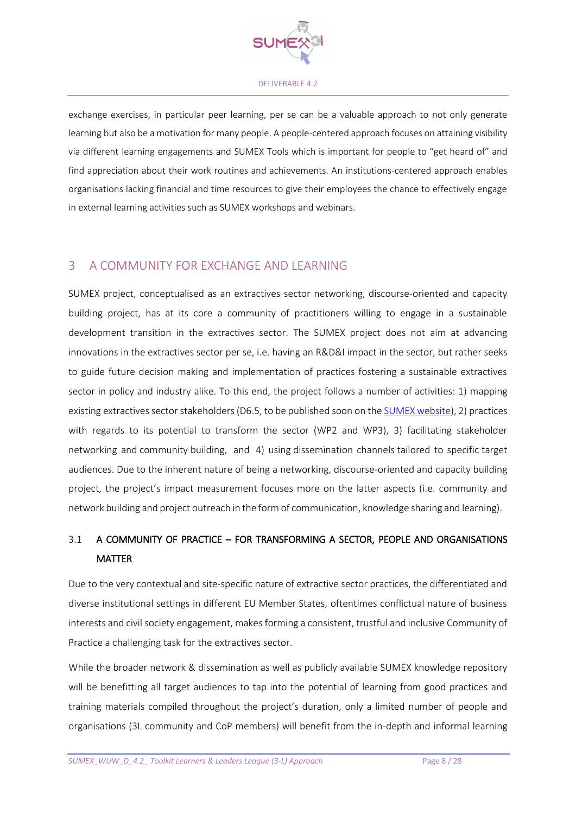

exchange exercises, in particular peer learning, per se can be a valuable approach to not only generate learning but also be a motivation for many people. A people-centered approach focuses on attaining visibility via different learning engagements and SUMEX Tools which is important for people to "get heard of" and find appreciation about their work routines and achievements. An institutions-centered approach enables organisations lacking financial and time resources to give their employees the chance to effectively engage in external learning activities such as SUMEX workshops and webinars.

## 3 A COMMUNITY FOR EXCHANGE AND LEARNING

SUMEX project, conceptualised as an extractives sector networking, discourse-oriented and capacity building project, has at its core a community of practitioners willing to engage in a sustainable development transition in the extractives sector. The SUMEX project does not aim at advancing innovations in the extractives sector per se, i.e. having an R&D&I impact in the sector, but rather seeks to guide future decision making and implementation of practices fostering a sustainable extractives sector in policy and industry alike. To this end, the project follows a number of activities: 1) mapping existing extractives sector stakeholders (D6.5, to be published soon on the [SUMEX website\)](https://www.sumexproject.eu/deliverables/), 2) practices with regards to its potential to transform the sector (WP2 and WP3), 3) facilitating stakeholder networking and community building, and 4) using dissemination channels tailored to specific target audiences. Due to the inherent nature of being a networking, discourse-oriented and capacity building project, the project's impact measurement focuses more on the latter aspects (i.e. community and network building and project outreach in the form of communication, knowledge sharing and learning).

## 3.1 A COMMUNITY OF PRACTICE – FOR TRANSFORMING A SECTOR, PEOPLE AND ORGANISATIONS MATTER

Due to the very contextual and site-specific nature of extractive sector practices, the differentiated and diverse institutional settings in different EU Member States, oftentimes conflictual nature of business interests and civil society engagement, makes forming a consistent, trustful and inclusive Community of Practice a challenging task for the extractives sector.

While the broader network & dissemination as well as publicly available SUMEX knowledge repository will be benefitting all target audiences to tap into the potential of learning from good practices and training materials compiled throughout the project's duration, only a limited number of people and organisations (3L community and CoP members) will benefit from the in-depth and informal learning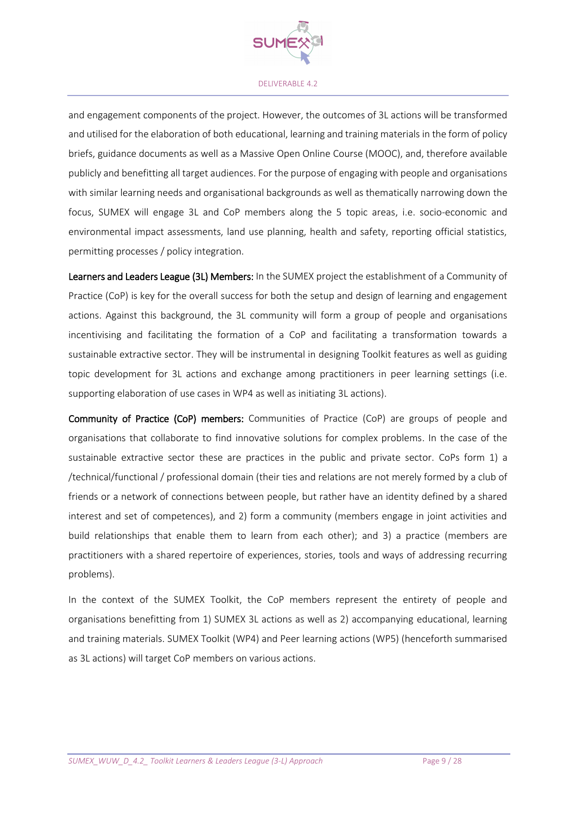

and engagement components of the project. However, the outcomes of 3L actions will be transformed and utilised for the elaboration of both educational, learning and training materials in the form of policy briefs, guidance documents as well as a Massive Open Online Course (MOOC), and, therefore available publicly and benefitting all target audiences. For the purpose of engaging with people and organisations with similar learning needs and organisational backgrounds as well as thematically narrowing down the focus, SUMEX will engage 3L and CoP members along the 5 topic areas, i.e. socio-economic and environmental impact assessments, land use planning, health and safety, reporting official statistics, permitting processes / policy integration.

Learners and Leaders League (3L) Members: In the SUMEX project the establishment of a Community of Practice (CoP) is key for the overall success for both the setup and design of learning and engagement actions. Against this background, the 3L community will form a group of people and organisations incentivising and facilitating the formation of a CoP and facilitating a transformation towards a sustainable extractive sector. They will be instrumental in designing Toolkit features as well as guiding topic development for 3L actions and exchange among practitioners in peer learning settings (i.e. supporting elaboration of use cases in WP4 as well as initiating 3L actions).

Community of Practice (CoP) members: Communities of Practice (CoP) are groups of people and organisations that collaborate to find innovative solutions for complex problems. In the case of the sustainable extractive sector these are practices in the public and private sector. CoPs form 1) a /technical/functional / professional domain (their ties and relations are not merely formed by a club of friends or a network of connections between people, but rather have an identity defined by a shared interest and set of competences), and 2) form a community (members engage in joint activities and build relationships that enable them to learn from each other); and 3) a practice (members are practitioners with a shared repertoire of experiences, stories, tools and ways of addressing recurring problems).

In the context of the SUMEX Toolkit, the CoP members represent the entirety of people and organisations benefitting from 1) SUMEX 3L actions as well as 2) accompanying educational, learning and training materials. SUMEX Toolkit (WP4) and Peer learning actions (WP5) (henceforth summarised as 3L actions) will target CoP members on various actions.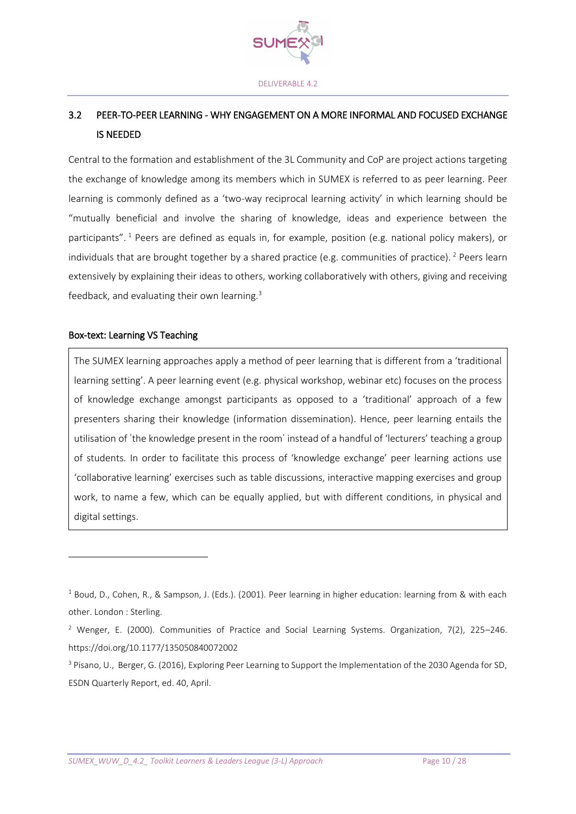

## 3.2 PEER-TO-PEER LEARNING - WHY ENGAGEMENT ON A MORE INFORMAL AND FOCUSED EXCHANGE IS NEEDED

Central to the formation and establishment of the 3L Community and CoP are project actions targeting the exchange of knowledge among its members which in SUMEX is referred to as peer learning. Peer learning is commonly defined as a 'two-way reciprocal learning activity' in which learning should be "mutually beneficial and involve the sharing of knowledge, ideas and experience between the participants". <sup>1</sup> Peers are defined as equals in, for example, position (e.g. national policy makers), or individuals that are brought together by a shared practice (e.g. communities of practice). <sup>2</sup> Peers learn extensively by explaining their ideas to others, working collaboratively with others, giving and receiving feedback, and evaluating their own learning.<sup>3</sup>

#### Box-text: Learning VS Teaching

**.** 

The SUMEX learning approaches apply a method of peer learning that is different from a 'traditional learning setting'. A peer learning event (e.g. physical workshop, webinar etc) focuses on the process of knowledge exchange amongst participants as opposed to a 'traditional' approach of a few presenters sharing their knowledge (information dissemination). Hence, peer learning entails the utilisation of ˈthe knowledge present in the roomˈ instead of a handful of 'lecturers' teaching a group of students. In order to facilitate this process of 'knowledge exchange' peer learning actions use 'collaborative learning' exercises such as table discussions, interactive mapping exercises and group work, to name a few, which can be equally applied, but with different conditions, in physical and digital settings.

 $1$  Boud, D., Cohen, R., & Sampson, J. (Eds.). (2001). Peer learning in higher education: learning from & with each other. London : Sterling.

<sup>&</sup>lt;sup>2</sup> Wenger, E. (2000). Communities of Practice and Social Learning Systems. Organization, 7(2), 225–246. https://doi.org/10.1177/135050840072002

<sup>&</sup>lt;sup>3</sup> Pisano, U., Berger, G. (2016), Exploring Peer Learning to Support the Implementation of the 2030 Agenda for SD, ESDN Quarterly Report, ed. 40, April.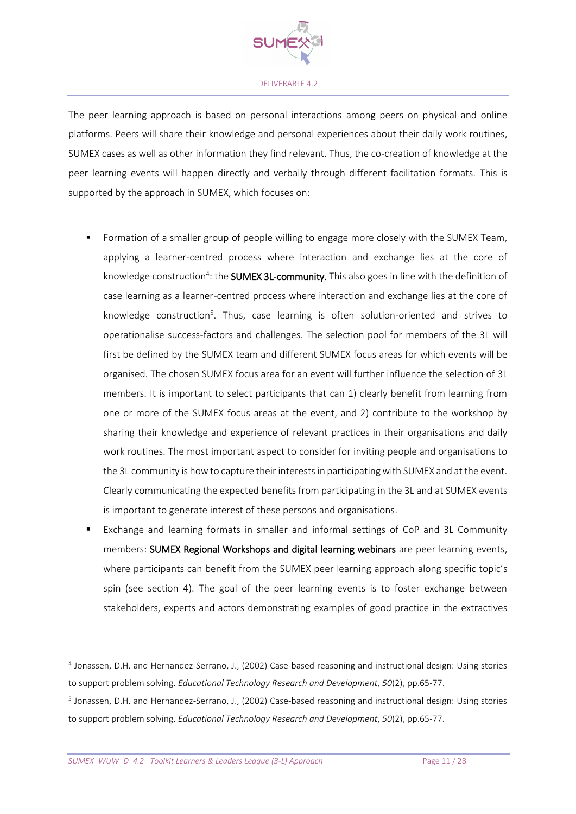

The peer learning approach is based on personal interactions among peers on physical and online platforms. Peers will share their knowledge and personal experiences about their daily work routines, SUMEX cases as well as other information they find relevant. Thus, the co-creation of knowledge at the peer learning events will happen directly and verbally through different facilitation formats. This is supported by the approach in SUMEX, which focuses on:

- Formation of a smaller group of people willing to engage more closely with the SUMEX Team, applying a learner-centred process where interaction and exchange lies at the core of knowledge construction<sup>4</sup>: the **SUMEX 3L-community.** This also goes in line with the definition of case learning as a learner-centred process where interaction and exchange lies at the core of knowledge construction<sup>5</sup>. Thus, case learning is often solution-oriented and strives to operationalise success-factors and challenges. The selection pool for members of the 3L will first be defined by the SUMEX team and different SUMEX focus areas for which events will be organised. The chosen SUMEX focus area for an event will further influence the selection of 3L members. It is important to select participants that can 1) clearly benefit from learning from one or more of the SUMEX focus areas at the event, and 2) contribute to the workshop by sharing their knowledge and experience of relevant practices in their organisations and daily work routines. The most important aspect to consider for inviting people and organisations to the 3L community is how to capture their interests in participating with SUMEX and at the event. Clearly communicating the expected benefits from participating in the 3L and at SUMEX events is important to generate interest of these persons and organisations.
- Exchange and learning formats in smaller and informal settings of CoP and 3L Community members: SUMEX Regional Workshops and digital learning webinars are peer learning events, where participants can benefit from the SUMEX peer learning approach along specific topic's spin (see section 4). The goal of the peer learning events is to foster exchange between stakeholders, experts and actors demonstrating examples of good practice in the extractives

**.** 

<sup>4</sup> Jonassen, D.H. and Hernandez-Serrano, J., (2002) Case-based reasoning and instructional design: Using stories to support problem solving. *Educational Technology Research and Development*, *50*(2), pp.65-77.

<sup>&</sup>lt;sup>5</sup> Jonassen, D.H. and Hernandez-Serrano, J., (2002) Case-based reasoning and instructional design: Using stories to support problem solving. *Educational Technology Research and Development*, *50*(2), pp.65-77.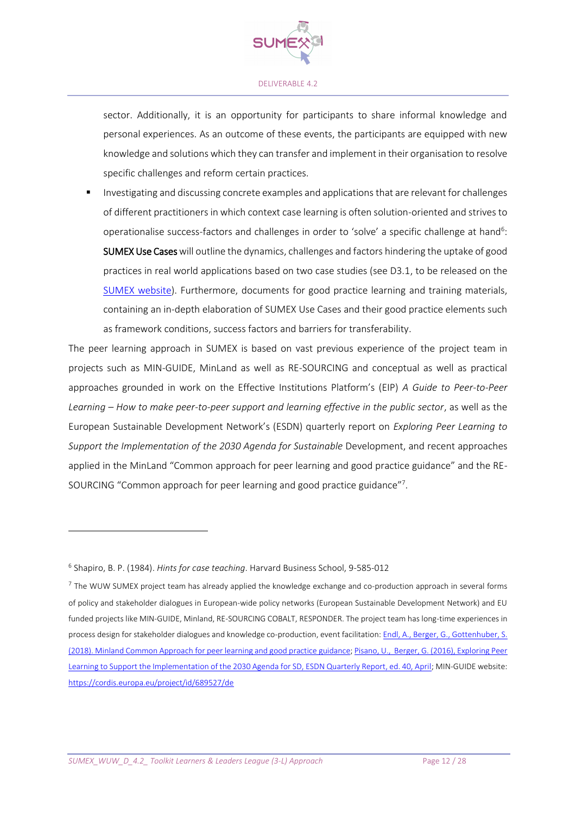

sector. Additionally, it is an opportunity for participants to share informal knowledge and personal experiences. As an outcome of these events, the participants are equipped with new knowledge and solutions which they can transfer and implement in their organisation to resolve specific challenges and reform certain practices.

Investigating and discussing concrete examples and applications that are relevant for challenges of different practitioners in which context case learning is often solution-oriented and strives to operationalise success-factors and challenges in order to 'solve' a specific challenge at hand<sup>6</sup>: SUMEX Use Caseswill outline the dynamics, challenges and factors hindering the uptake of good practices in real world applications based on two case studies (see D3.1, to be released on the [SUMEX website\)](https://www.sumexproject.eu/deliverables/). Furthermore, documents for good practice learning and training materials, containing an in-depth elaboration of SUMEX Use Cases and their good practice elements such as framework conditions, success factors and barriers for transferability.

The peer learning approach in SUMEX is based on vast previous experience of the project team in projects such as MIN-GUIDE, MinLand as well as RE-SOURCING and conceptual as well as practical approaches grounded in work on the Effective Institutions Platform's (EIP) *A Guide to Peer-to-Peer Learning – How to make peer-to-peer support and learning effective in the public sector*, as well as the European Sustainable Development Network's (ESDN) quarterly report on *Exploring Peer Learning to Support the Implementation of the 2030 Agenda for Sustainable* Development, and recent approaches applied in the MinLand "Common approach for peer learning and good practice guidance" and the RE-SOURCING "Common approach for peer learning and good practice guidance"<sup>7</sup>.

**.** 

<sup>6</sup> Shapiro, B. P. (1984). *Hints for case teaching*. Harvard Business School, 9-585-012

 $^7$  The WUW SUMEX project team has already applied the knowledge exchange and co-production approach in several forms of policy and stakeholder dialogues in European-wide policy networks (European Sustainable Development Network) and EU funded projects like MIN-GUIDE, Minland, RE-SOURCING COBALT, RESPONDER. The project team has long-time experiences in process design for stakeholder dialogues and knowledge co-production, event facilitation[: Endl, A., Berger, G., Gottenhuber, S.](https://www.minland.eu/wp-content/uploads/D6_1_Minland_Approach_for_Good_Practice_and_Peer%20learning.pdf)  [\(2018\). Minland Common Approach for peer learning and good practice guidance;](https://www.minland.eu/wp-content/uploads/D6_1_Minland_Approach_for_Good_Practice_and_Peer%20learning.pdf) [Pisano, U., Berger, G. \(2016\), Exploring Peer](https://www.sd-network.eu/quarterly%20reports/report%20files/pdf/2016-April-Exploring_Peer_Learning_to_support_the_implementation_of_the_2030_Agenda_for_SD.pdf)  [Learning to Support the Implementation of the 2030 Agenda for SD, ESDN Quarterly Report, ed. 40, April;](https://www.sd-network.eu/quarterly%20reports/report%20files/pdf/2016-April-Exploring_Peer_Learning_to_support_the_implementation_of_the_2030_Agenda_for_SD.pdf) MIN-GUIDE website: <https://cordis.europa.eu/project/id/689527/de>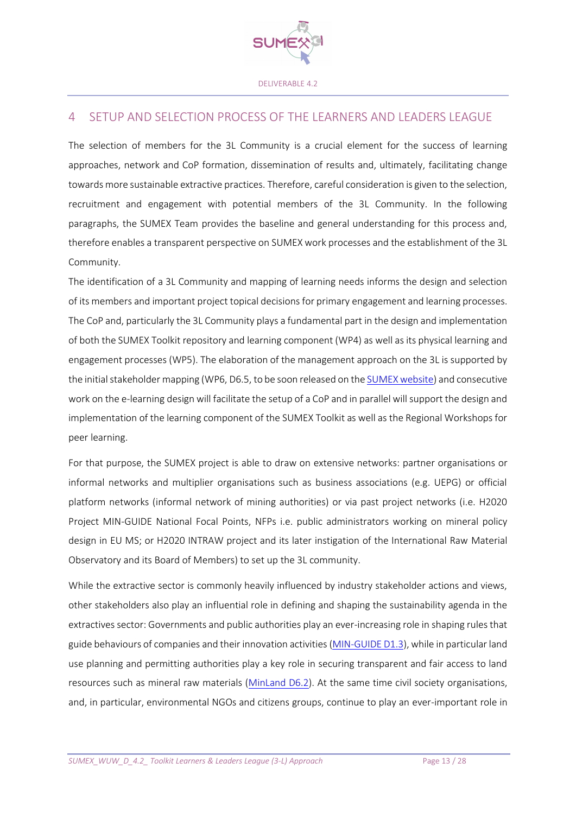

### 4 SETUP AND SELECTION PROCESS OF THE LEARNERS AND LEADERS LEAGUE

The selection of members for the 3L Community is a crucial element for the success of learning approaches, network and CoP formation, dissemination of results and, ultimately, facilitating change towards more sustainable extractive practices. Therefore, careful consideration is given to the selection, recruitment and engagement with potential members of the 3L Community. In the following paragraphs, the SUMEX Team provides the baseline and general understanding for this process and, therefore enables a transparent perspective on SUMEX work processes and the establishment of the 3L Community.

The identification of a 3L Community and mapping of learning needs informs the design and selection of its members and important project topical decisions for primary engagement and learning processes. The CoP and, particularly the 3L Community plays a fundamental part in the design and implementation of both the SUMEX Toolkit repository and learning component (WP4) as well as its physical learning and engagement processes (WP5). The elaboration of the management approach on the 3L is supported by the initial stakeholder mapping (WP6, D6.5, to be soon released on th[e SUMEX website\)](https://www.sumexproject.eu/deliverables/) and consecutive work on the e-learning design will facilitate the setup of a CoP and in parallel will support the design and implementation of the learning component of the SUMEX Toolkit as well as the Regional Workshops for peer learning.

For that purpose, the SUMEX project is able to draw on extensive networks: partner organisations or informal networks and multiplier organisations such as business associations (e.g. UEPG) or official platform networks (informal network of mining authorities) or via past project networks (i.e. H2020 Project MIN-GUIDE National Focal Points, NFPs i.e. public administrators working on mineral policy design in EU MS; or H2020 INTRAW project and its later instigation of the International Raw Material Observatory and its Board of Members) to set up the 3L community.

While the extractive sector is commonly heavily influenced by industry stakeholder actions and views, other stakeholders also play an influential role in defining and shaping the sustainability agenda in the extractives sector: Governments and public authorities play an ever-increasing role in shaping rules that guide behaviours of companies and their innovation activities [\(MIN-GUIDE D1.3\)](https://ec.europa.eu/research/participants/documents/downloadPublic?documentIds=080166e5bf9b150c&appId=PPGMS), while in particular land use planning and permitting authorities play a key role in securing transparent and fair access to land resources such as mineral raw materials [\(MinLand D6.2\)](https://www.google.com/url?sa=t&rct=j&q=&esrc=s&source=web&cd=&ved=2ahUKEwiV3M6rn7b0AhXUQeUKHc3DC7IQFnoECAUQAQ&url=https%3A%2F%2Fwww.minland.eu%2Fwp-content%2Fuploads%2FD6.2_Final-Manual_final-online-submission_6-12-2019.pdf&usg=AOvVaw3zTZmk-nCVFw0n-kY9mv1g). At the same time civil society organisations, and, in particular, environmental NGOs and citizens groups, continue to play an ever-important role in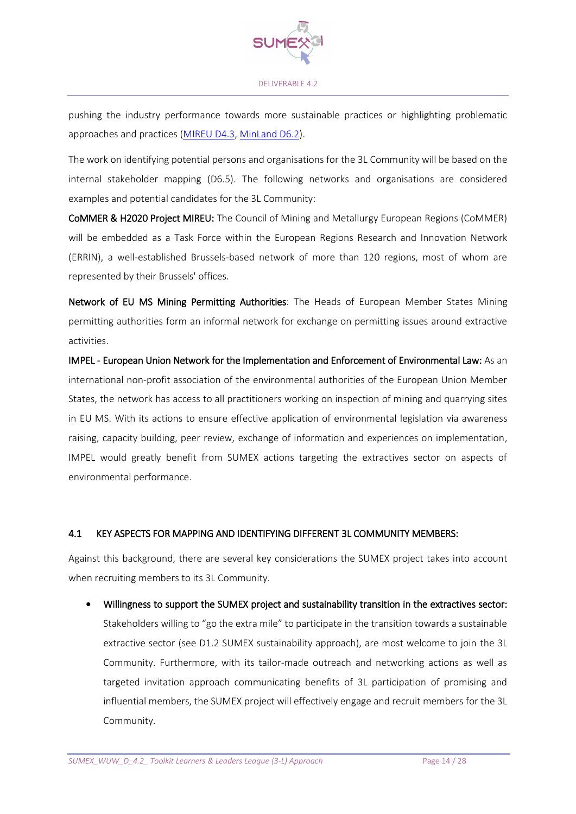

pushing the industry performance towards more sustainable practices or highlighting problematic approaches and practices [\(MIREU D4.3,](https://mireu.eu/system/files/2021-05/Deliverable%204.3_2021-05-19_2791.pdf) [MinLand D6.2\)](https://www.google.com/url?sa=t&rct=j&q=&esrc=s&source=web&cd=&ved=2ahUKEwiV3M6rn7b0AhXUQeUKHc3DC7IQFnoECAUQAQ&url=https%3A%2F%2Fwww.minland.eu%2Fwp-content%2Fuploads%2FD6.2_Final-Manual_final-online-submission_6-12-2019.pdf&usg=AOvVaw3zTZmk-nCVFw0n-kY9mv1g).

The work on identifying potential persons and organisations for the 3L Community will be based on the internal stakeholder mapping (D6.5). The following networks and organisations are considered examples and potential candidates for the 3L Community:

CoMMER & H2020 Project MIREU: The Council of Mining and Metallurgy European Regions (CoMMER) will be embedded as a Task Force within the European Regions Research and Innovation Network (ERRIN), a well-established Brussels-based network of more than 120 regions, most of whom are represented by their Brussels' offices.

Network of EU MS Mining Permitting Authorities: The Heads of European Member States Mining permitting authorities form an informal network for exchange on permitting issues around extractive activities.

IMPEL - European Union Network for the Implementation and Enforcement of Environmental Law: As an international non-profit association of the environmental authorities of the European Union Member States, the network has access to all practitioners working on inspection of mining and quarrying sites in EU MS. With its actions to ensure effective application of environmental legislation via awareness raising, capacity building, peer review, exchange of information and experiences on implementation, IMPEL would greatly benefit from SUMEX actions targeting the extractives sector on aspects of environmental performance.

#### 4.1 KEY ASPECTS FOR MAPPING AND IDENTIFYING DIFFERENT 3L COMMUNITY MEMBERS:

Against this background, there are several key considerations the SUMEX project takes into account when recruiting members to its 3L Community.

• Willingness to support the SUMEX project and sustainability transition in the extractives sector:

Stakeholders willing to "go the extra mile" to participate in the transition towards a sustainable extractive sector (see D1.2 SUMEX sustainability approach), are most welcome to join the 3L Community. Furthermore, with its tailor-made outreach and networking actions as well as targeted invitation approach communicating benefits of 3L participation of promising and influential members, the SUMEX project will effectively engage and recruit members for the 3L Community.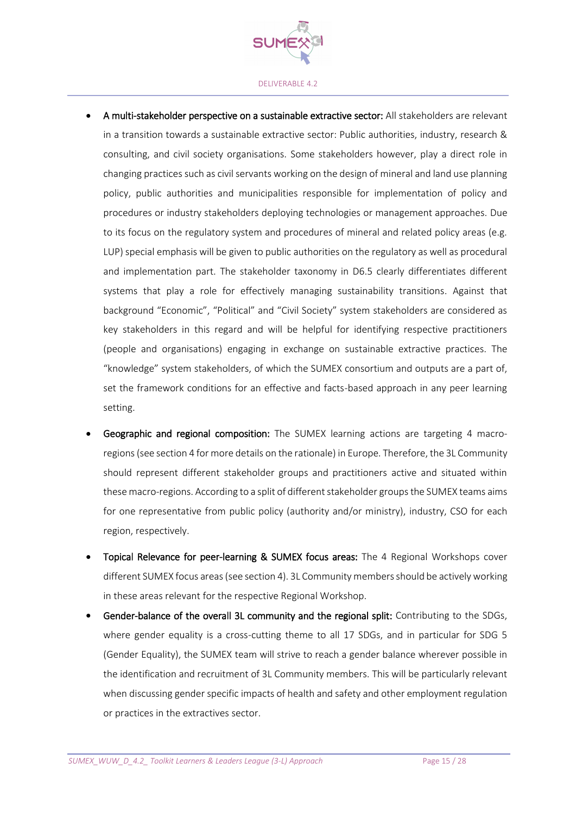

- A multi-stakeholder perspective on a sustainable extractive sector: All stakeholders are relevant in a transition towards a sustainable extractive sector: Public authorities, industry, research & consulting, and civil society organisations. Some stakeholders however, play a direct role in changing practices such as civil servants working on the design of mineral and land use planning policy, public authorities and municipalities responsible for implementation of policy and procedures or industry stakeholders deploying technologies or management approaches. Due to its focus on the regulatory system and procedures of mineral and related policy areas (e.g. LUP) special emphasis will be given to public authorities on the regulatory as well as procedural and implementation part. The stakeholder taxonomy in D6.5 clearly differentiates different systems that play a role for effectively managing sustainability transitions. Against that background "Economic", "Political" and "Civil Society" system stakeholders are considered as key stakeholders in this regard and will be helpful for identifying respective practitioners (people and organisations) engaging in exchange on sustainable extractive practices. The "knowledge" system stakeholders, of which the SUMEX consortium and outputs are a part of, set the framework conditions for an effective and facts-based approach in any peer learning setting.
- Geographic and regional composition: The SUMEX learning actions are targeting 4 macroregions (see section 4 for more details on the rationale) in Europe. Therefore, the 3L Community should represent different stakeholder groups and practitioners active and situated within these macro-regions. According to a split of different stakeholder groups the SUMEX teams aims for one representative from public policy (authority and/or ministry), industry, CSO for each region, respectively.
- Topical Relevance for peer-learning & SUMEX focus areas: The 4 Regional Workshops cover different SUMEX focus areas (see section 4). 3L Community members should be actively working in these areas relevant for the respective Regional Workshop.
- Gender-balance of the overall 3L community and the regional split: Contributing to the SDGs, where gender equality is a cross-cutting theme to all 17 SDGs, and in particular for SDG 5 (Gender Equality), the SUMEX team will strive to reach a gender balance wherever possible in the identification and recruitment of 3L Community members. This will be particularly relevant when discussing gender specific impacts of health and safety and other employment regulation or practices in the extractives sector.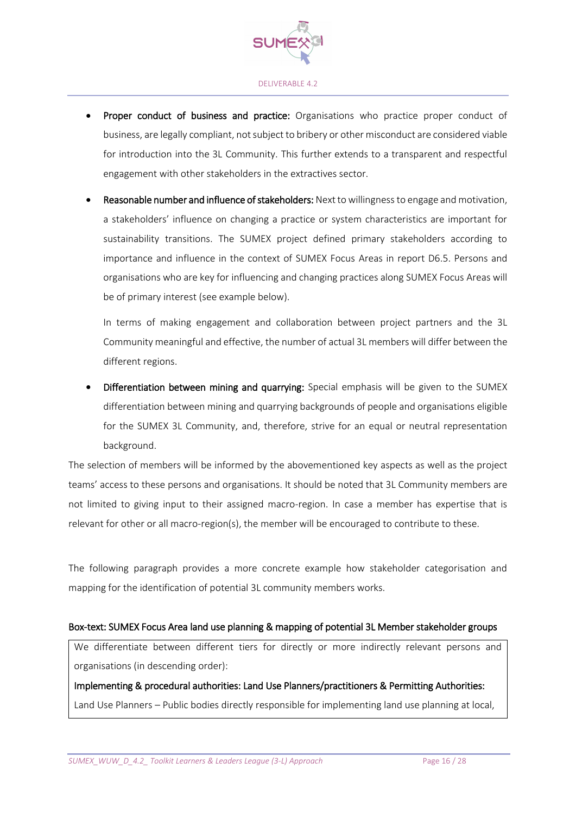

- Proper conduct of business and practice: Organisations who practice proper conduct of business, are legally compliant, not subject to bribery or other misconduct are considered viable for introduction into the 3L Community. This further extends to a transparent and respectful engagement with other stakeholders in the extractives sector.
- Reasonable number and influence of stakeholders: Next to willingness to engage and motivation, a stakeholders' influence on changing a practice or system characteristics are important for sustainability transitions. The SUMEX project defined primary stakeholders according to importance and influence in the context of SUMEX Focus Areas in report D6.5. Persons and organisations who are key for influencing and changing practices along SUMEX Focus Areas will be of primary interest (see example below).

In terms of making engagement and collaboration between project partners and the 3L Community meaningful and effective, the number of actual 3L members will differ between the different regions.

Differentiation between mining and quarrying: Special emphasis will be given to the SUMEX differentiation between mining and quarrying backgrounds of people and organisations eligible for the SUMEX 3L Community, and, therefore, strive for an equal or neutral representation background.

The selection of members will be informed by the abovementioned key aspects as well as the project teams' access to these persons and organisations. It should be noted that 3L Community members are not limited to giving input to their assigned macro-region. In case a member has expertise that is relevant for other or all macro-region(s), the member will be encouraged to contribute to these.

The following paragraph provides a more concrete example how stakeholder categorisation and mapping for the identification of potential 3L community members works.

#### Box-text: SUMEX Focus Area land use planning & mapping of potential 3L Member stakeholder groups

We differentiate between different tiers for directly or more indirectly relevant persons and organisations (in descending order):

Implementing & procedural authorities: Land Use Planners/practitioners & Permitting Authorities: Land Use Planners – Public bodies directly responsible for implementing land use planning at local,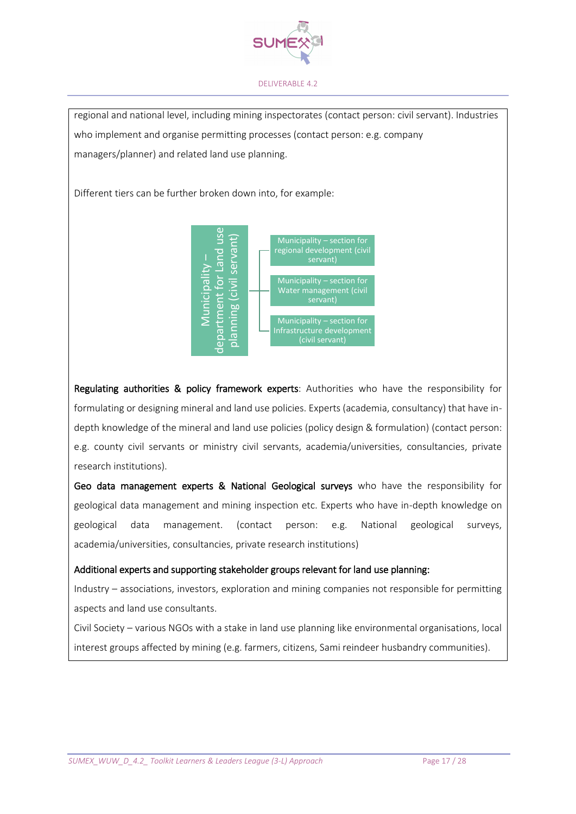

regional and national level, including mining inspectorates (contact person: civil servant). Industries who implement and organise permitting processes (contact person: e.g. company managers/planner) and related land use planning.

Different tiers can be further broken down into, for example:



Regulating authorities & policy framework experts: Authorities who have the responsibility for formulating or designing mineral and land use policies. Experts (academia, consultancy) that have indepth knowledge of the mineral and land use policies (policy design & formulation) (contact person: e.g. county civil servants or ministry civil servants, academia/universities, consultancies, private research institutions). **Example 1998**<br> **Interest groups affected by minicpality-section for**<br> **Interest groups affected by minicpality-section for**<br> **Infrastructure development**<br> **Regulating authorities & policy framework experts:** Authorities w

Geo data management experts & National Geological surveys who have the responsibility for geological data management and mining inspection etc. Experts who have in-depth knowledge on geological data management. (contact person: e.g. National geological surveys, academia/universities, consultancies, private research institutions)

#### Additional experts and supporting stakeholder groups relevant for land use planning:

Industry – associations, investors, exploration and mining companies not responsible for permitting aspects and land use consultants.

Civil Society – various NGOs with a stake in land use planning like environmental organisations, local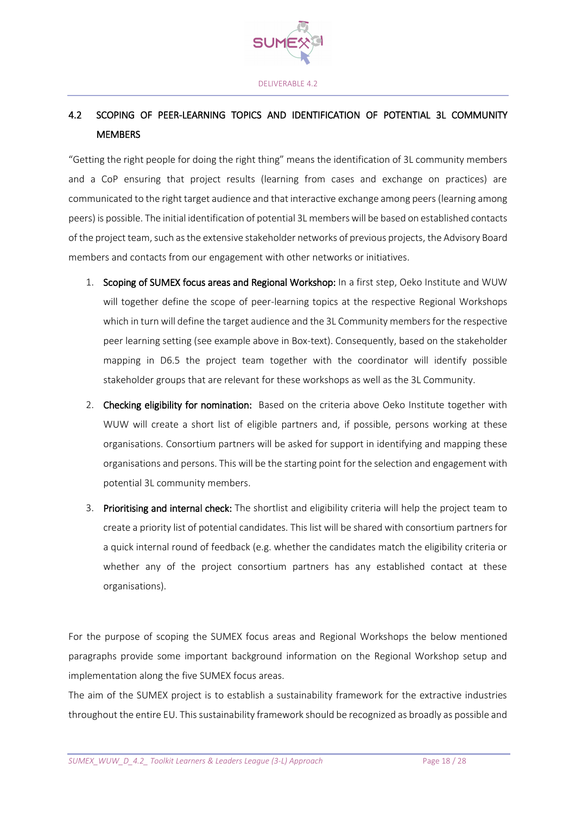

## 4.2 SCOPING OF PEER-LEARNING TOPICS AND IDENTIFICATION OF POTENTIAL 3L COMMUNITY MEMBERS

"Getting the right people for doing the right thing" means the identification of 3L community members and a CoP ensuring that project results (learning from cases and exchange on practices) are communicated to the right target audience and that interactive exchange among peers (learning among peers) is possible. The initial identification of potential 3L memberswill be based on established contacts of the project team, such as the extensive stakeholder networks of previous projects, the Advisory Board members and contacts from our engagement with other networks or initiatives.

- 1. Scoping of SUMEX focus areas and Regional Workshop: In a first step, Oeko Institute and WUW will together define the scope of peer-learning topics at the respective Regional Workshops which in turn will define the target audience and the 3L Community members for the respective peer learning setting (see example above in Box-text). Consequently, based on the stakeholder mapping in D6.5 the project team together with the coordinator will identify possible stakeholder groups that are relevant for these workshops as well as the 3L Community.
- 2. Checking eligibility for nomination: Based on the criteria above Oeko Institute together with WUW will create a short list of eligible partners and, if possible, persons working at these organisations. Consortium partners will be asked for support in identifying and mapping these organisations and persons. This will be the starting point for the selection and engagement with potential 3L community members.
- 3. Prioritising and internal check: The shortlist and eligibility criteria will help the project team to create a priority list of potential candidates. This list will be shared with consortium partners for a quick internal round of feedback (e.g. whether the candidates match the eligibility criteria or whether any of the project consortium partners has any established contact at these organisations).

For the purpose of scoping the SUMEX focus areas and Regional Workshops the below mentioned paragraphs provide some important background information on the Regional Workshop setup and implementation along the five SUMEX focus areas.

The aim of the SUMEX project is to establish a sustainability framework for the extractive industries throughout the entire EU. This sustainability framework should be recognized as broadly as possible and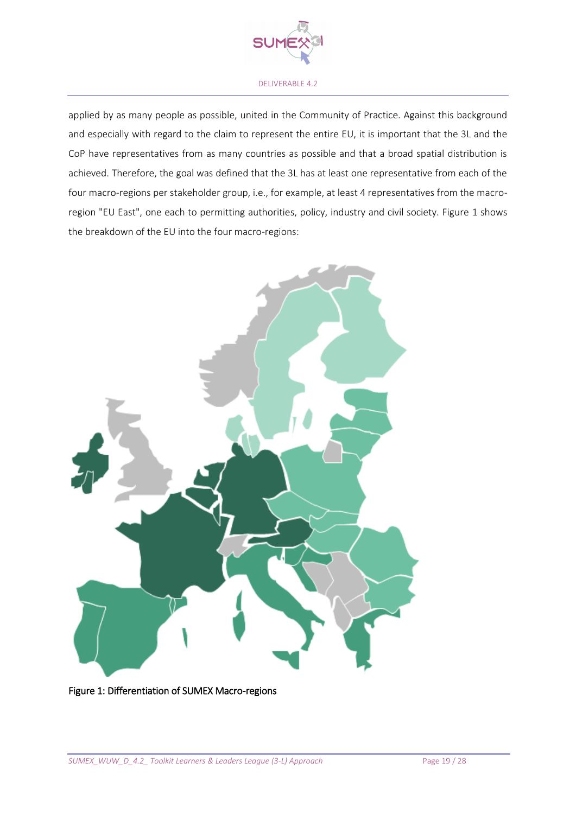

applied by as many people as possible, united in the Community of Practice. Against this background and especially with regard to the claim to represent the entire EU, it is important that the 3L and the CoP have representatives from as many countries as possible and that a broad spatial distribution is achieved. Therefore, the goal was defined that the 3L has at least one representative from each of the four macro-regions per stakeholder group, i.e., for example, at least 4 representatives from the macroregion "EU East", one each to permitting authorities, policy, industry and civil society. Figure 1 shows the breakdown of the EU into the four macro-regions:



#### <span id="page-18-0"></span>Figure 1: Differentiation of SUMEX Macro-regions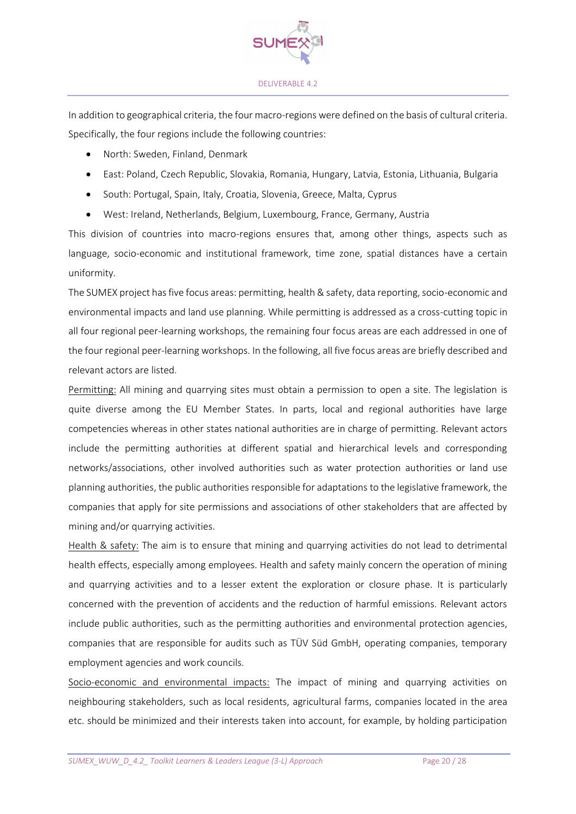

In addition to geographical criteria, the four macro-regions were defined on the basis of cultural criteria. Specifically, the four regions include the following countries:

- North: Sweden, Finland, Denmark
- East: Poland, Czech Republic, Slovakia, Romania, Hungary, Latvia, Estonia, Lithuania, Bulgaria
- South: Portugal, Spain, Italy, Croatia, Slovenia, Greece, Malta, Cyprus
- West: Ireland, Netherlands, Belgium, Luxembourg, France, Germany, Austria

This division of countries into macro-regions ensures that, among other things, aspects such as language, socio-economic and institutional framework, time zone, spatial distances have a certain uniformity.

The SUMEX project has five focus areas: permitting, health & safety, data reporting, socio-economic and environmental impacts and land use planning. While permitting is addressed as a cross-cutting topic in all four regional peer-learning workshops, the remaining four focus areas are each addressed in one of the four regional peer-learning workshops. In the following, all five focus areas are briefly described and relevant actors are listed.

Permitting: All mining and quarrying sites must obtain a permission to open a site. The legislation is quite diverse among the EU Member States. In parts, local and regional authorities have large competencies whereas in other states national authorities are in charge of permitting. Relevant actors include the permitting authorities at different spatial and hierarchical levels and corresponding networks/associations, other involved authorities such as water protection authorities or land use planning authorities, the public authorities responsible for adaptations to the legislative framework, the companies that apply for site permissions and associations of other stakeholders that are affected by mining and/or quarrying activities.

Health & safety: The aim is to ensure that mining and quarrying activities do not lead to detrimental health effects, especially among employees. Health and safety mainly concern the operation of mining and quarrying activities and to a lesser extent the exploration or closure phase. It is particularly concerned with the prevention of accidents and the reduction of harmful emissions. Relevant actors include public authorities, such as the permitting authorities and environmental protection agencies, companies that are responsible for audits such as TÜV Süd GmbH, operating companies, temporary employment agencies and work councils.

Socio-economic and environmental impacts: The impact of mining and quarrying activities on neighbouring stakeholders, such as local residents, agricultural farms, companies located in the area etc. should be minimized and their interests taken into account, for example, by holding participation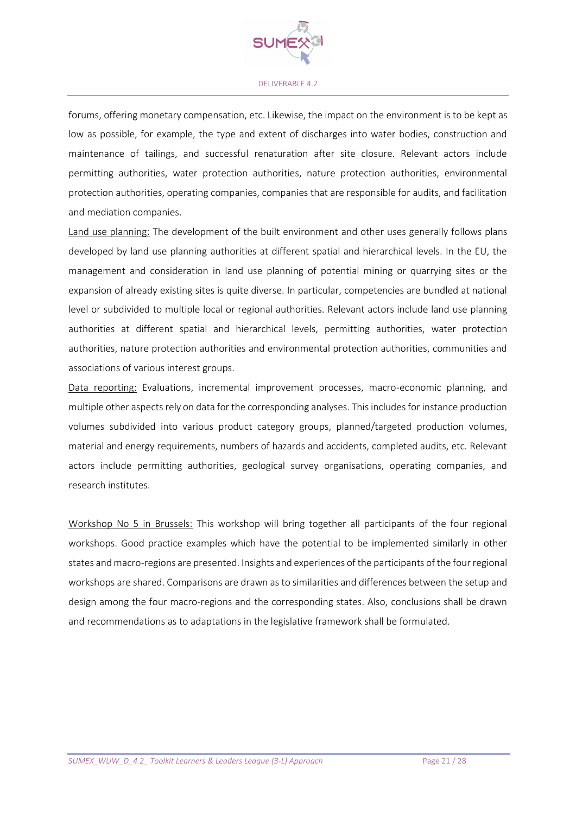

forums, offering monetary compensation, etc. Likewise, the impact on the environment is to be kept as low as possible, for example, the type and extent of discharges into water bodies, construction and maintenance of tailings, and successful renaturation after site closure. Relevant actors include permitting authorities, water protection authorities, nature protection authorities, environmental protection authorities, operating companies, companies that are responsible for audits, and facilitation and mediation companies.

Land use planning: The development of the built environment and other uses generally follows plans developed by land use planning authorities at different spatial and hierarchical levels. In the EU, the management and consideration in land use planning of potential mining or quarrying sites or the expansion of already existing sites is quite diverse. In particular, competencies are bundled at national level or subdivided to multiple local or regional authorities. Relevant actors include land use planning authorities at different spatial and hierarchical levels, permitting authorities, water protection authorities, nature protection authorities and environmental protection authorities, communities and associations of various interest groups.

Data reporting: Evaluations, incremental improvement processes, macro-economic planning, and multiple other aspects rely on data for the corresponding analyses. This includes for instance production volumes subdivided into various product category groups, planned/targeted production volumes, material and energy requirements, numbers of hazards and accidents, completed audits, etc. Relevant actors include permitting authorities, geological survey organisations, operating companies, and research institutes.

Workshop No 5 in Brussels: This workshop will bring together all participants of the four regional workshops. Good practice examples which have the potential to be implemented similarly in other states and macro-regions are presented. Insights and experiences of the participants of the four regional workshops are shared. Comparisons are drawn as to similarities and differences between the setup and design among the four macro-regions and the corresponding states. Also, conclusions shall be drawn and recommendations as to adaptations in the legislative framework shall be formulated.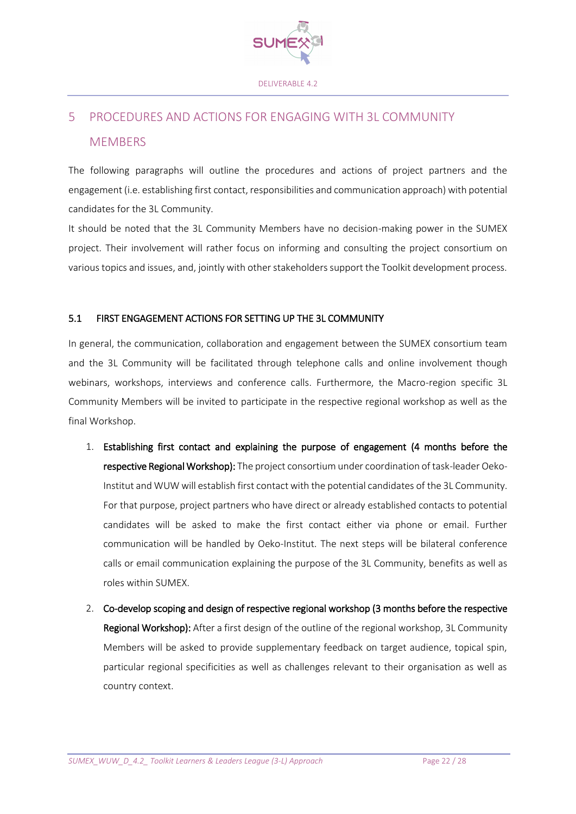

# 5 PROCEDURES AND ACTIONS FOR ENGAGING WITH 3L COMMUNITY **MEMBERS**

The following paragraphs will outline the procedures and actions of project partners and the engagement (i.e. establishing first contact, responsibilities and communication approach) with potential candidates for the 3L Community.

It should be noted that the 3L Community Members have no decision-making power in the SUMEX project. Their involvement will rather focus on informing and consulting the project consortium on various topics and issues, and, jointly with other stakeholders support the Toolkit development process.

#### 5.1 FIRST ENGAGEMENT ACTIONS FOR SETTING UP THE 3L COMMUNITY

In general, the communication, collaboration and engagement between the SUMEX consortium team and the 3L Community will be facilitated through telephone calls and online involvement though webinars, workshops, interviews and conference calls. Furthermore, the Macro-region specific 3L Community Members will be invited to participate in the respective regional workshop as well as the final Workshop.

- 1. Establishing first contact and explaining the purpose of engagement (4 months before the respective Regional Workshop): The project consortium under coordination of task-leader Oeko-Institut and WUW will establish first contact with the potential candidates of the 3L Community. For that purpose, project partners who have direct or already established contacts to potential candidates will be asked to make the first contact either via phone or email. Further communication will be handled by Oeko-Institut. The next steps will be bilateral conference calls or email communication explaining the purpose of the 3L Community, benefits as well as roles within SUMEX.
- 2. Co-develop scoping and design of respective regional workshop (3 months before the respective Regional Workshop): After a first design of the outline of the regional workshop, 3L Community Members will be asked to provide supplementary feedback on target audience, topical spin, particular regional specificities as well as challenges relevant to their organisation as well as country context.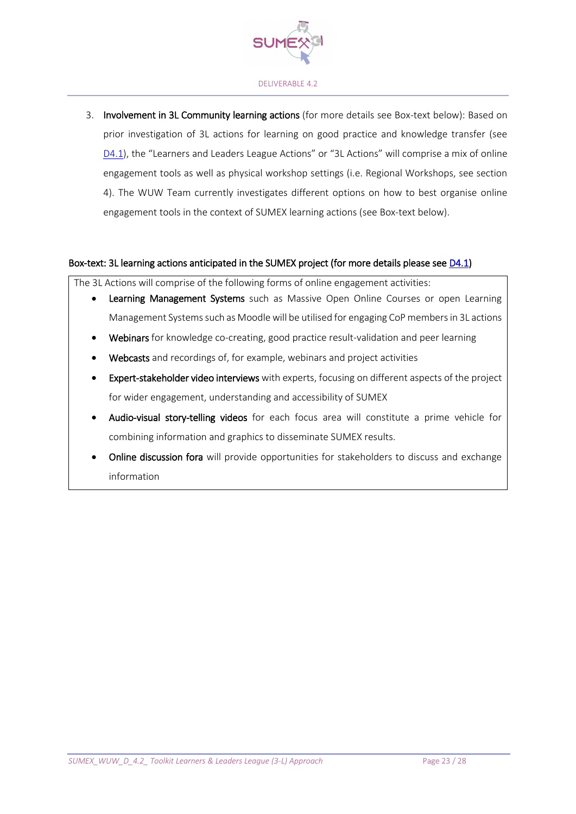

3. Involvement in 3L Community learning actions (for more details see Box-text below): Based on prior investigation of 3L actions for learning on good practice and knowledge transfer (see [D4.1](https://bit.ly/3uJyj0K)), the "Learners and Leaders League Actions" or "3L Actions" will comprise a mix of online engagement tools as well as physical workshop settings (i.e. Regional Workshops, see section 4). The WUW Team currently investigates different options on how to best organise online engagement tools in the context of SUMEX learning actions (see Box-text below).

#### Box-text: 3L learning actions anticipated in the SUMEX project (for more details please see [D4.1\)](https://bit.ly/3uJyj0K)

The 3L Actions will comprise of the following forms of online engagement activities:

- Learning Management Systems such as Massive Open Online Courses or open Learning Management Systems such as Moodle will be utilised for engaging CoP members in 3L actions
- Webinars for knowledge co-creating, good practice result-validation and peer learning
- Webcasts and recordings of, for example, webinars and project activities
- Expert-stakeholder video interviews with experts, focusing on different aspects of the project for wider engagement, understanding and accessibility of SUMEX
- Audio-visual story-telling videos for each focus area will constitute a prime vehicle for combining information and graphics to disseminate SUMEX results.
- Online discussion fora will provide opportunities for stakeholders to discuss and exchange information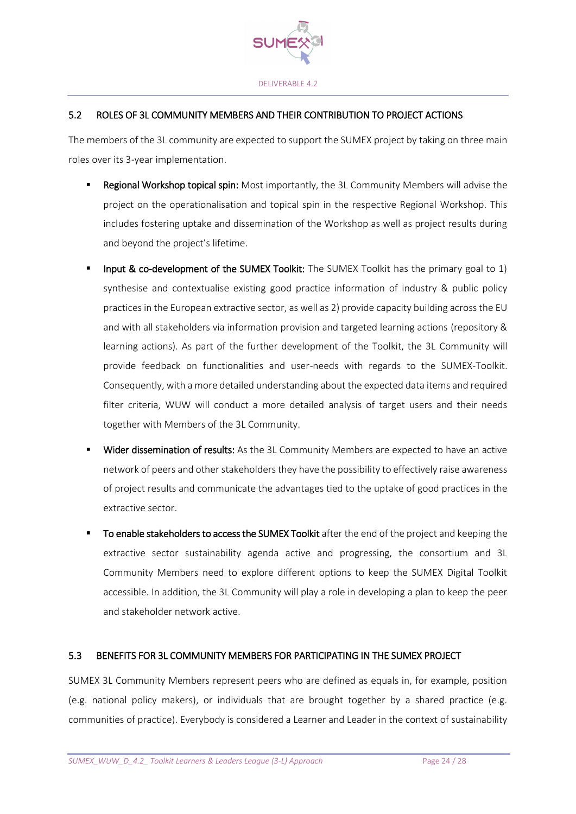

### 5.2 ROLES OF 3L COMMUNITY MEMBERS AND THEIR CONTRIBUTION TO PROJECT ACTIONS

The members of the 3L community are expected to support the SUMEX project by taking on three main roles over its 3-year implementation.

- Regional Workshop topical spin: Most importantly, the 3L Community Members will advise the project on the operationalisation and topical spin in the respective Regional Workshop. This includes fostering uptake and dissemination of the Workshop as well as project results during and beyond the project's lifetime.
- **■** Input & co-development of the SUMEX Toolkit: The SUMEX Toolkit has the primary goal to 1) synthesise and contextualise existing good practice information of industry & public policy practices in the European extractive sector, as well as 2) provide capacity building across the EU and with all stakeholders via information provision and targeted learning actions (repository & learning actions). As part of the further development of the Toolkit, the 3L Community will provide feedback on functionalities and user-needs with regards to the SUMEX-Toolkit. Consequently, with a more detailed understanding about the expected data items and required filter criteria, WUW will conduct a more detailed analysis of target users and their needs together with Members of the 3L Community.
- Wider dissemination of results: As the 3L Community Members are expected to have an active network of peers and other stakeholders they have the possibility to effectively raise awareness of project results and communicate the advantages tied to the uptake of good practices in the extractive sector.
- To enable stakeholders to access the SUMEX Toolkit after the end of the project and keeping the extractive sector sustainability agenda active and progressing, the consortium and 3L Community Members need to explore different options to keep the SUMEX Digital Toolkit accessible. In addition, the 3L Community will play a role in developing a plan to keep the peer and stakeholder network active.

### 5.3 BENEFITS FOR 3L COMMUNITY MEMBERS FOR PARTICIPATING IN THE SUMEX PROJECT

SUMEX 3L Community Members represent peers who are defined as equals in, for example, position (e.g. national policy makers), or individuals that are brought together by a shared practice (e.g. communities of practice). Everybody is considered a Learner and Leader in the context of sustainability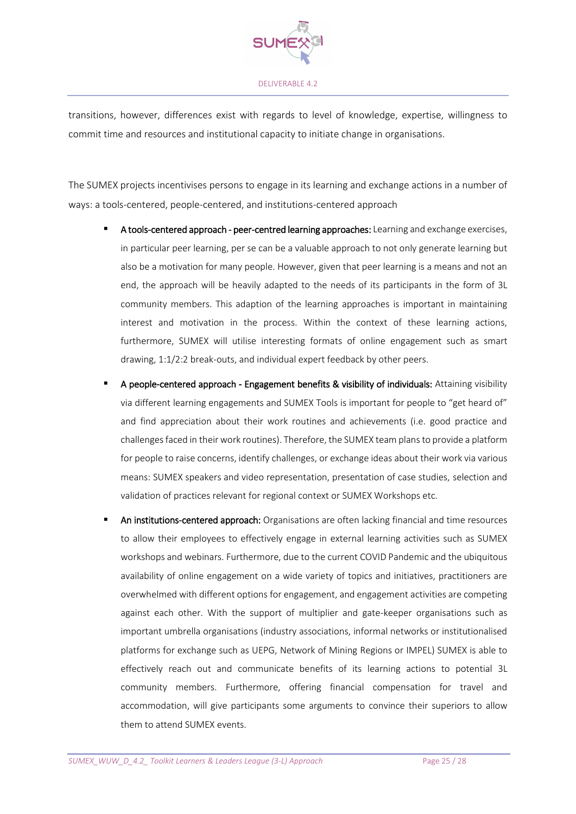

transitions, however, differences exist with regards to level of knowledge, expertise, willingness to commit time and resources and institutional capacity to initiate change in organisations.

The SUMEX projects incentivises persons to engage in its learning and exchange actions in a number of ways: a tools-centered, people-centered, and institutions-centered approach

- **E** A tools-centered approach peer-centred learning approaches: Learning and exchange exercises, in particular peer learning, per se can be a valuable approach to not only generate learning but also be a motivation for many people. However, given that peer learning is a means and not an end, the approach will be heavily adapted to the needs of its participants in the form of 3L community members. This adaption of the learning approaches is important in maintaining interest and motivation in the process. Within the context of these learning actions, furthermore, SUMEX will utilise interesting formats of online engagement such as smart drawing, 1:1/2:2 break-outs, and individual expert feedback by other peers.
- A people-centered approach Engagement benefits & visibility of individuals: Attaining visibility via different learning engagements and SUMEX Tools is important for people to "get heard of" and find appreciation about their work routines and achievements (i.e. good practice and challenges faced in their work routines). Therefore, the SUMEX team plans to provide a platform for people to raise concerns, identify challenges, or exchange ideas about their work via various means: SUMEX speakers and video representation, presentation of case studies, selection and validation of practices relevant for regional context or SUMEX Workshops etc.
- An institutions-centered approach: Organisations are often lacking financial and time resources to allow their employees to effectively engage in external learning activities such as SUMEX workshops and webinars. Furthermore, due to the current COVID Pandemic and the ubiquitous availability of online engagement on a wide variety of topics and initiatives, practitioners are overwhelmed with different options for engagement, and engagement activities are competing against each other. With the support of multiplier and gate-keeper organisations such as important umbrella organisations (industry associations, informal networks or institutionalised platforms for exchange such as UEPG, Network of Mining Regions or IMPEL) SUMEX is able to effectively reach out and communicate benefits of its learning actions to potential 3L community members. Furthermore, offering financial compensation for travel and accommodation, will give participants some arguments to convince their superiors to allow them to attend SUMEX events.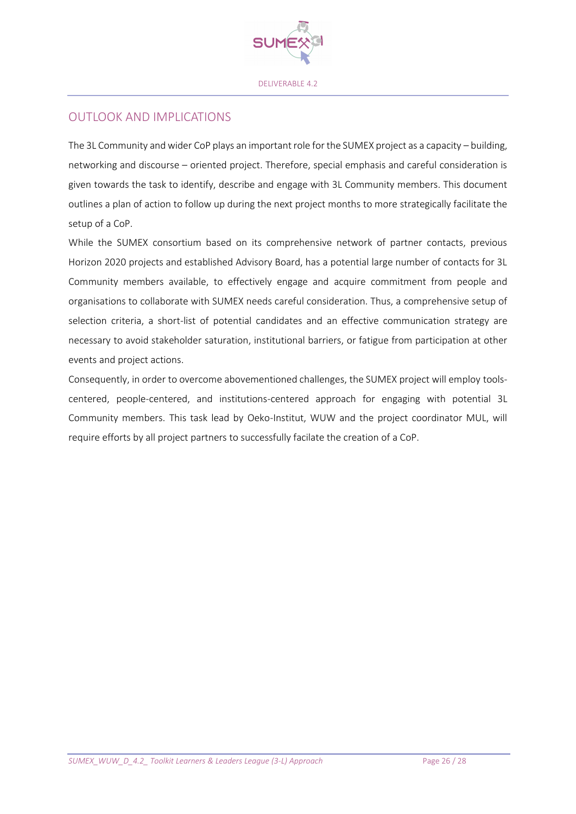

### OUTLOOK AND IMPLICATIONS

The 3L Community and wider CoP plays an important role for the SUMEX project as a capacity – building, networking and discourse – oriented project. Therefore, special emphasis and careful consideration is given towards the task to identify, describe and engage with 3L Community members. This document outlines a plan of action to follow up during the next project months to more strategically facilitate the setup of a CoP.

While the SUMEX consortium based on its comprehensive network of partner contacts, previous Horizon 2020 projects and established Advisory Board, has a potential large number of contacts for 3L Community members available, to effectively engage and acquire commitment from people and organisations to collaborate with SUMEX needs careful consideration. Thus, a comprehensive setup of selection criteria, a short-list of potential candidates and an effective communication strategy are necessary to avoid stakeholder saturation, institutional barriers, or fatigue from participation at other events and project actions.

Consequently, in order to overcome abovementioned challenges, the SUMEX project will employ toolscentered, people-centered, and institutions-centered approach for engaging with potential 3L Community members. This task lead by Oeko-Institut, WUW and the project coordinator MUL, will require efforts by all project partners to successfully facilate the creation of a CoP.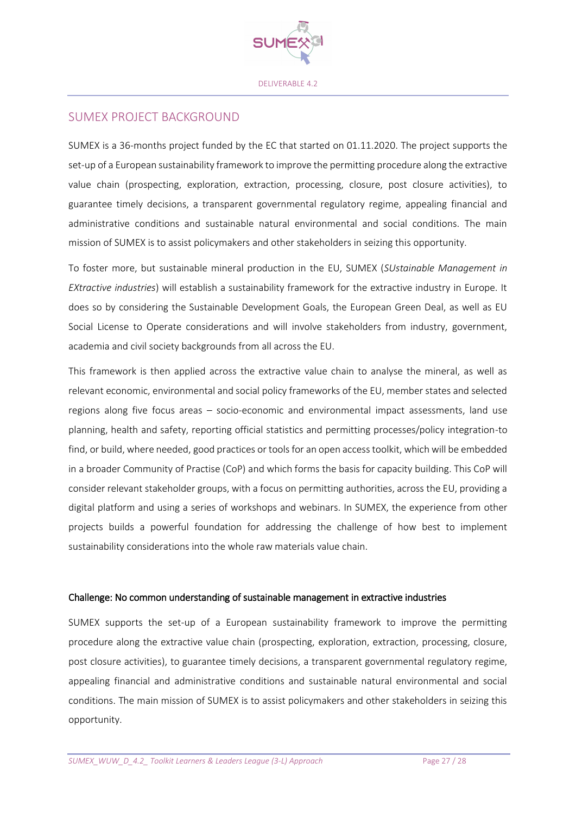

### SUMEX PROJECT BACKGROUND

SUMEX is a 36-months project funded by the EC that started on 01.11.2020. The project supports the set-up of a European sustainability framework to improve the permitting procedure along the extractive value chain (prospecting, exploration, extraction, processing, closure, post closure activities), to guarantee timely decisions, a transparent governmental regulatory regime, appealing financial and administrative conditions and sustainable natural environmental and social conditions. The main mission of SUMEX is to assist policymakers and other stakeholders in seizing this opportunity.

To foster more, but sustainable mineral production in the EU, SUMEX (*SUstainable Management in EXtractive industries*) will establish a sustainability framework for the extractive industry in Europe. It does so by considering the Sustainable Development Goals, the European Green Deal, as well as EU Social License to Operate considerations and will involve stakeholders from industry, government, academia and civil society backgrounds from all across the EU.

This framework is then applied across the extractive value chain to analyse the mineral, as well as relevant economic, environmental and social policy frameworks of the EU, member states and selected regions along five focus areas – socio-economic and environmental impact assessments, land use planning, health and safety, reporting official statistics and permitting processes/policy integration-to find, or build, where needed, good practices or tools for an open access toolkit, which will be embedded in a broader Community of Practise (CoP) and which forms the basis for capacity building. This CoP will consider relevant stakeholder groups, with a focus on permitting authorities, across the EU, providing a digital platform and using a series of workshops and webinars. In SUMEX, the experience from other projects builds a powerful foundation for addressing the challenge of how best to implement sustainability considerations into the whole raw materials value chain.

#### Challenge: No common understanding of sustainable management in extractive industries

SUMEX supports the set-up of a European sustainability framework to improve the permitting procedure along the extractive value chain (prospecting, exploration, extraction, processing, closure, post closure activities), to guarantee timely decisions, a transparent governmental regulatory regime, appealing financial and administrative conditions and sustainable natural environmental and social conditions. The main mission of SUMEX is to assist policymakers and other stakeholders in seizing this opportunity.